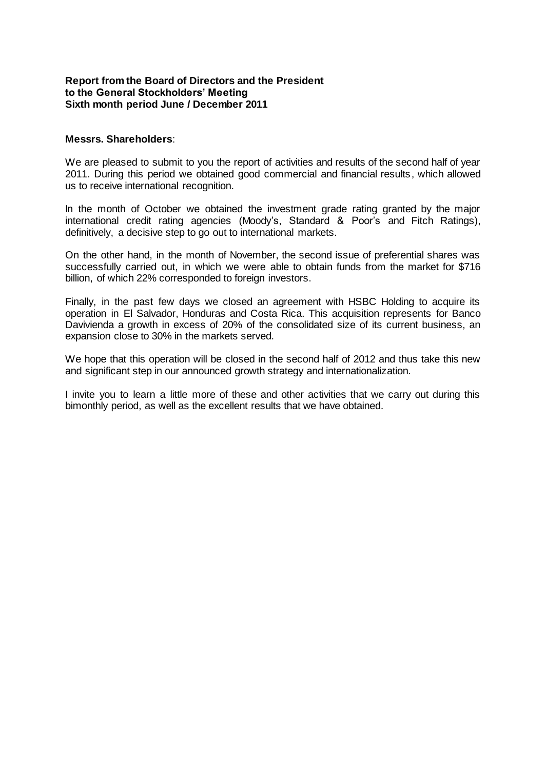#### **Report from the Board of Directors and the President to the General Stockholders' Meeting Sixth month period June / December 2011**

#### **Messrs. Shareholders**:

We are pleased to submit to you the report of activities and results of the second half of year 2011. During this period we obtained good commercial and financial results, which allowed us to receive international recognition.

In the month of October we obtained the investment grade rating granted by the major international credit rating agencies (Moody's, Standard & Poor's and Fitch Ratings), definitively, a decisive step to go out to international markets.

On the other hand, in the month of November, the second issue of preferential shares was successfully carried out, in which we were able to obtain funds from the market for \$716 billion, of which 22% corresponded to foreign investors.

Finally, in the past few days we closed an agreement with HSBC Holding to acquire its operation in El Salvador, Honduras and Costa Rica. This acquisition represents for Banco Davivienda a growth in excess of 20% of the consolidated size of its current business, an expansion close to 30% in the markets served.

We hope that this operation will be closed in the second half of 2012 and thus take this new and significant step in our announced growth strategy and internationalization.

I invite you to learn a little more of these and other activities that we carry out during this bimonthly period, as well as the excellent results that we have obtained.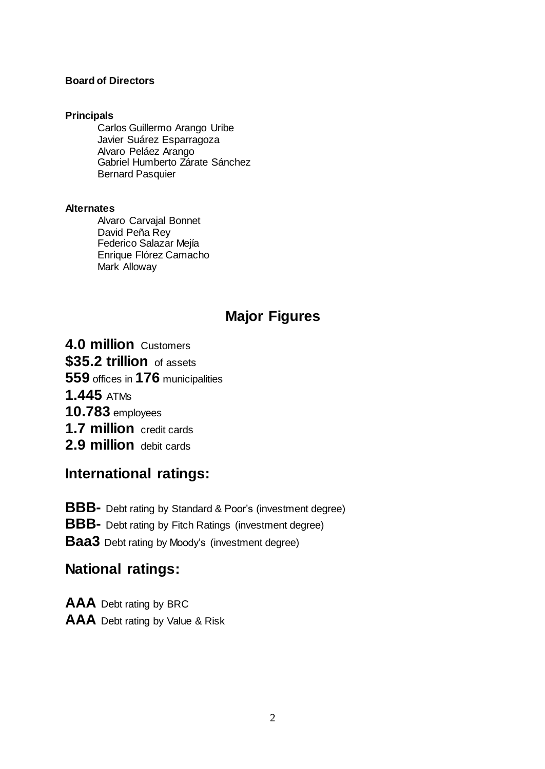#### **Board of Directors**

#### **Principals**

Carlos Guillermo Arango Uribe Javier Suárez Esparragoza Alvaro Peláez Arango Gabriel Humberto Zárate Sánchez Bernard Pasquier

#### **Alternates**

Alvaro Carvajal Bonnet David Peña Rey Federico Salazar Mejía Enrique Flórez Camacho Mark Alloway

# **Major Figures**

**4.0 million** Customers **\$35.2 trillion** of assets **559** offices in **176** municipalities **1.445** ATMs **10.783** employees **1.7 million** credit cards **2.9 million** debit cards

# **International ratings:**

**BBB-** Debt rating by Standard & Poor's (investment degree)

**BBB-** Debt rating by Fitch Ratings (investment degree)

**Baa3** Debt rating by Moody's (investment degree)

# **National ratings:**

**AAA** Debt rating by BRC **AAA** Debt rating by Value & Risk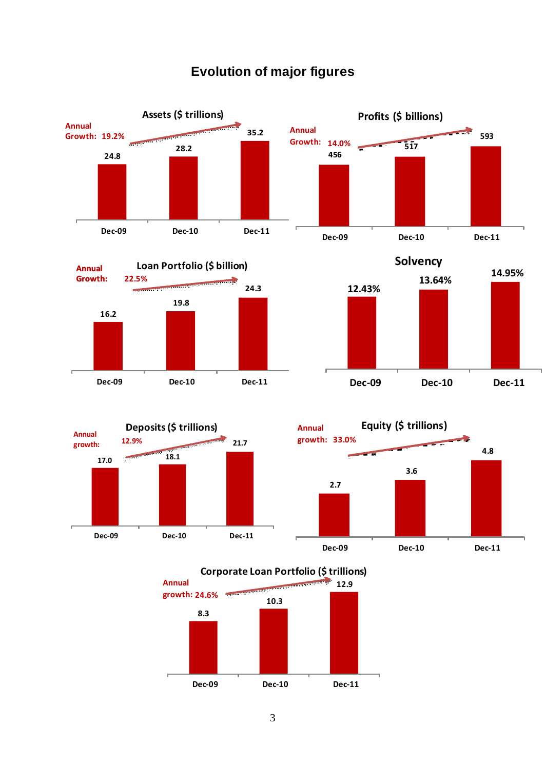# **Evolution of major figures**













**Corporate Loan Portfolio (\$ trillions)**

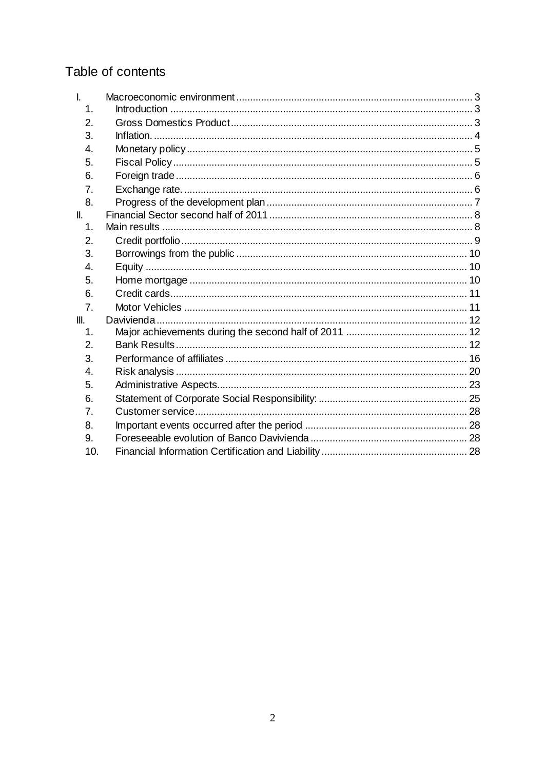# Table of contents

| $\mathbf{I}$ .  |  |
|-----------------|--|
| 1.              |  |
| 2.              |  |
| 3.              |  |
| 4.              |  |
| 5.              |  |
| 6.              |  |
| 7.              |  |
| 8.              |  |
| $\mathbf{II}$ . |  |
| 1.              |  |
| 2.              |  |
| 3.              |  |
| 4.              |  |
| 5.              |  |
| 6.              |  |
| 7.              |  |
| Ш.              |  |
| 1.              |  |
| 2.              |  |
| 3.              |  |
| 4.              |  |
| 5.              |  |
| 6.              |  |
| 7.              |  |
| 8.              |  |
| 9.              |  |
| 10.             |  |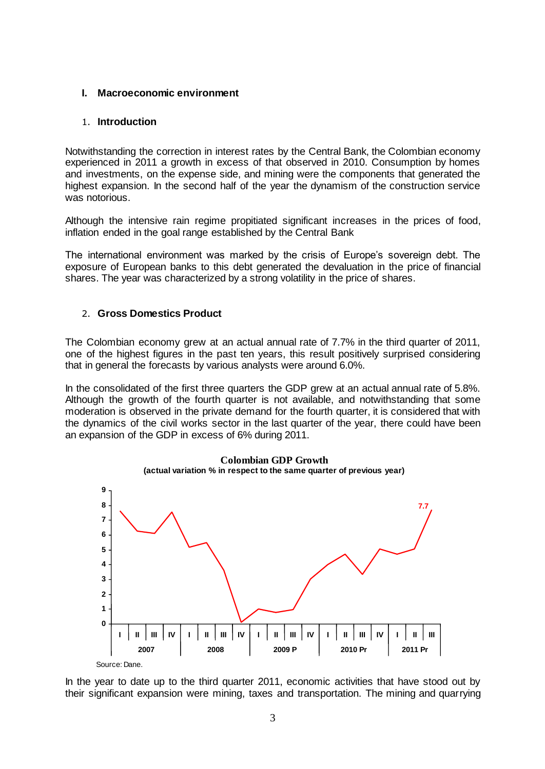#### <span id="page-4-0"></span>**I. Macroeconomic environment**

#### <span id="page-4-1"></span>1. **Introduction**

Notwithstanding the correction in interest rates by the Central Bank, the Colombian economy experienced in 2011 a growth in excess of that observed in 2010. Consumption by homes and investments, on the expense side, and mining were the components that generated the highest expansion. In the second half of the year the dynamism of the construction service was notorious.

Although the intensive rain regime propitiated significant increases in the prices of food, inflation ended in the goal range established by the Central Bank

The international environment was marked by the crisis of Europe's sovereign debt. The exposure of European banks to this debt generated the devaluation in the price of financial shares. The year was characterized by a strong volatility in the price of shares.

#### <span id="page-4-2"></span>2. **Gross Domestics Product**

The Colombian economy grew at an actual annual rate of 7.7% in the third quarter of 2011, one of the highest figures in the past ten years, this result positively surprised considering that in general the forecasts by various analysts were around 6.0%.

In the consolidated of the first three quarters the GDP grew at an actual annual rate of 5.8%. Although the growth of the fourth quarter is not available, and notwithstanding that some moderation is observed in the private demand for the fourth quarter, it is considered that with the dynamics of the civil works sector in the last quarter of the year, there could have been an expansion of the GDP in excess of 6% during 2011.



**Crecimiento del PIB colombiano (actual variation % in respect to the same quarter of previous year)Colombian GDP Growth**

In the year to date up to the third quarter 2011, economic activities that have stood out by their significant expansion were mining, taxes and transportation. The mining and quarrying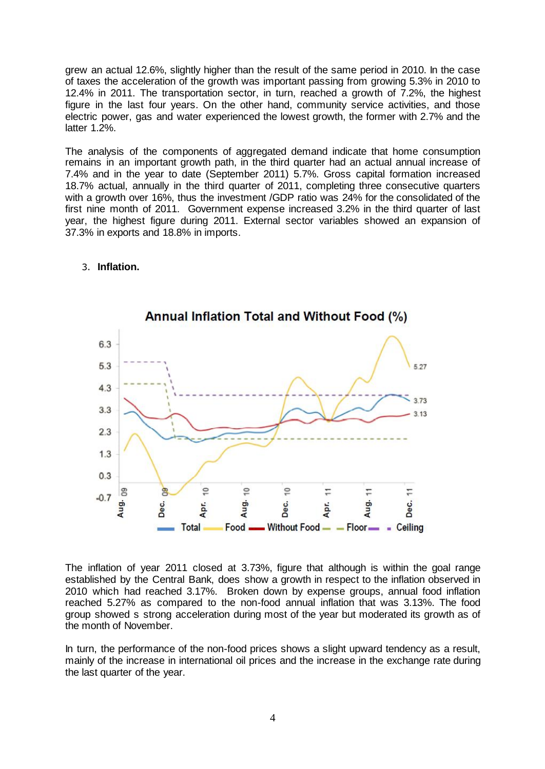grew an actual 12.6%, slightly higher than the result of the same period in 2010. In the case of taxes the acceleration of the growth was important passing from growing 5.3% in 2010 to 12.4% in 2011. The transportation sector, in turn, reached a growth of 7.2%, the highest figure in the last four years. On the other hand, community service activities, and those electric power, gas and water experienced the lowest growth, the former with 2.7% and the latter 1.2%.

The analysis of the components of aggregated demand indicate that home consumption remains in an important growth path, in the third quarter had an actual annual increase of 7.4% and in the year to date (September 2011) 5.7%. Gross capital formation increased 18.7% actual, annually in the third quarter of 2011, completing three consecutive quarters with a growth over 16%, thus the investment /GDP ratio was 24% for the consolidated of the first nine month of 2011. Government expense increased 3.2% in the third quarter of last year, the highest figure during 2011. External sector variables showed an expansion of 37.3% in exports and 18.8% in imports.



#### <span id="page-5-0"></span>3. **Inflation.**

The inflation of year 2011 closed at 3.73%, figure that although is within the goal range established by the Central Bank, does show a growth in respect to the inflation observed in 2010 which had reached 3.17%. Broken down by expense groups, annual food inflation reached 5.27% as compared to the non-food annual inflation that was 3.13%. The food group showed s strong acceleration during most of the year but moderated its growth as of the month of November.

In turn, the performance of the non-food prices shows a slight upward tendency as a result, mainly of the increase in international oil prices and the increase in the exchange rate during the last quarter of the year.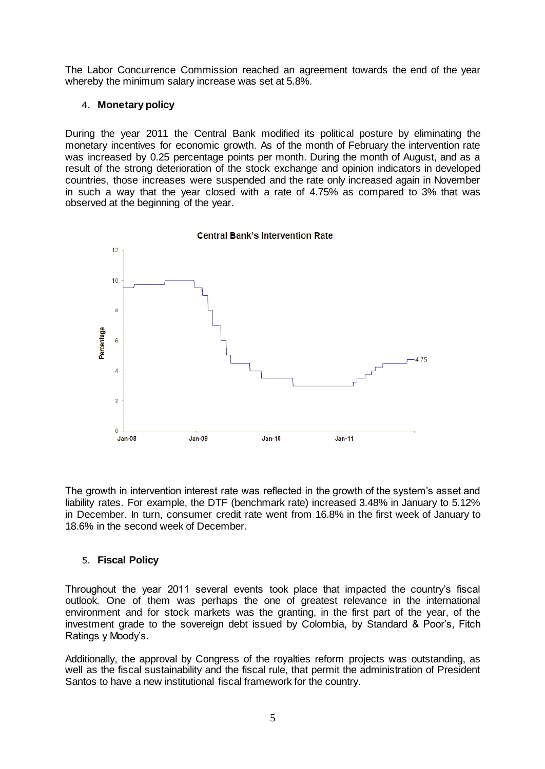The Labor Concurrence Commission reached an agreement towards the end of the year whereby the minimum salary increase was set at 5.8%.

#### <span id="page-6-0"></span>4. **Monetary policy**

During the year 2011 the Central Bank modified its political posture by eliminating the monetary incentives for economic growth. As of the month of February the intervention rate was increased by 0.25 percentage points per month. During the month of August, and as a result of the strong deterioration of the stock exchange and opinion indicators in developed countries, those increases were suspended and the rate only increased again in November in such a way that the year closed with a rate of 4.75% as compared to 3% that was observed at the beginning of the year.



The growth in intervention interest rate was reflected in the growth of the system's asset and liability rates. For example, the DTF (benchmark rate) increased 3.48% in January to 5.12% in December. In turn, consumer credit rate went from 16.8% in the first week of January to 18.6% in the second week of December.

#### <span id="page-6-1"></span>5. **Fiscal Policy**

Throughout the year 2011 several events took place that impacted the country's fiscal outlook. One of them was perhaps the one of greatest relevance in the international environment and for stock markets was the granting, in the first part of the year, of the investment grade to the sovereign debt issued by Colombia, by Standard & Poor's, Fitch Ratings y Moody's.

Additionally, the approval by Congress of the royalties reform projects was outstanding, as well as the fiscal sustainability and the fiscal rule, that permit the administration of President Santos to have a new institutional fiscal framework for the country.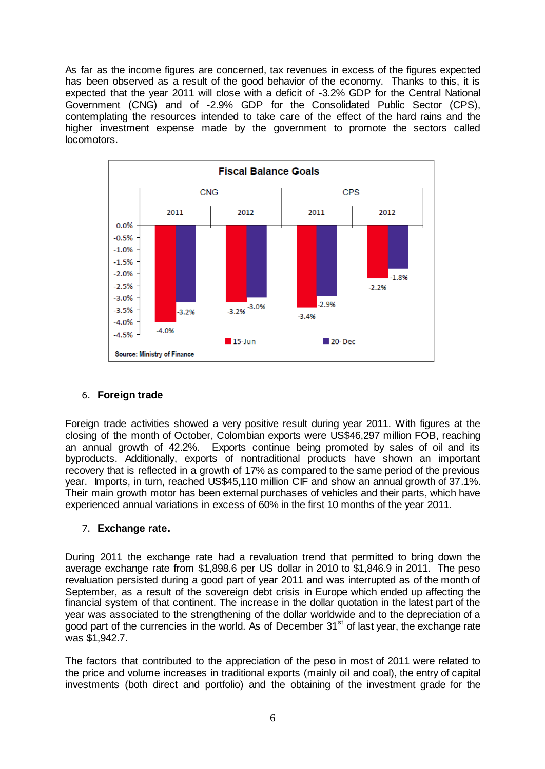As far as the income figures are concerned, tax revenues in excess of the figures expected has been observed as a result of the good behavior of the economy. Thanks to this, it is expected that the year 2011 will close with a deficit of -3.2% GDP for the Central National Government (CNG) and of -2.9% GDP for the Consolidated Public Sector (CPS), contemplating the resources intended to take care of the effect of the hard rains and the higher investment expense made by the government to promote the sectors called locomotors.



# <span id="page-7-0"></span>6. **Foreign trade**

Foreign trade activities showed a very positive result during year 2011. With figures at the closing of the month of October, Colombian exports were US\$46,297 million FOB, reaching an annual growth of 42.2%. Exports continue being promoted by sales of oil and its byproducts. Additionally, exports of nontraditional products have shown an important recovery that is reflected in a growth of 17% as compared to the same period of the previous year. Imports, in turn, reached US\$45,110 million CIF and show an annual growth of 37.1%. Their main growth motor has been external purchases of vehicles and their parts, which have experienced annual variations in excess of 60% in the first 10 months of the year 2011.

#### <span id="page-7-1"></span>7. **Exchange rate.**

During 2011 the exchange rate had a revaluation trend that permitted to bring down the average exchange rate from \$1,898.6 per US dollar in 2010 to \$1,846.9 in 2011. The peso revaluation persisted during a good part of year 2011 and was interrupted as of the month of September, as a result of the sovereign debt crisis in Europe which ended up affecting the financial system of that continent. The increase in the dollar quotation in the latest part of the year was associated to the strengthening of the dollar worldwide and to the depreciation of a good part of the currencies in the world. As of December  $31<sup>st</sup>$  of last year, the exchange rate was \$1,942.7.

The factors that contributed to the appreciation of the peso in most of 2011 were related to the price and volume increases in traditional exports (mainly oil and coal), the entry of capital investments (both direct and portfolio) and the obtaining of the investment grade for the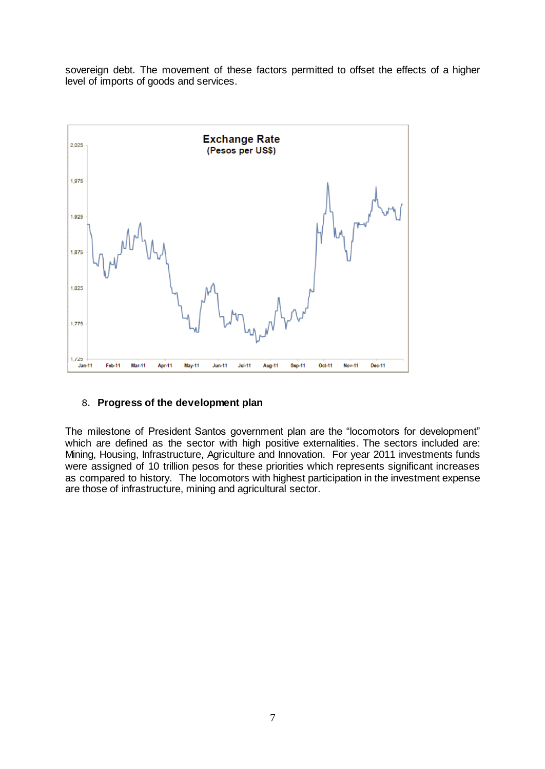sovereign debt. The movement of these factors permitted to offset the effects of a higher level of imports of goods and services.



#### <span id="page-8-0"></span>8. **Progress of the development plan**

The milestone of President Santos government plan are the "locomotors for development" which are defined as the sector with high positive externalities. The sectors included are: Mining, Housing, Infrastructure, Agriculture and Innovation. For year 2011 investments funds were assigned of 10 trillion pesos for these priorities which represents significant increases as compared to history. The locomotors with highest participation in the investment expense are those of infrastructure, mining and agricultural sector.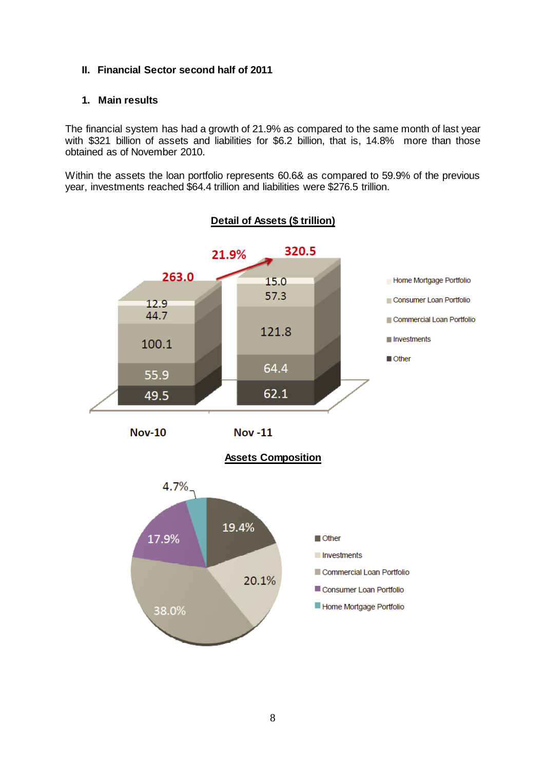#### <span id="page-9-0"></span>**II. Financial Sector second half of 2011**

#### <span id="page-9-1"></span>**1. Main results**

The financial system has had a growth of 21.9% as compared to the same month of last year with \$321 billion of assets and liabilities for \$6.2 billion, that is, 14.8% more than those obtained as of November 2010.

Within the assets the loan portfolio represents 60.6& as compared to 59.9% of the previous year, investments reached \$64.4 trillion and liabilities were \$276.5 trillion.

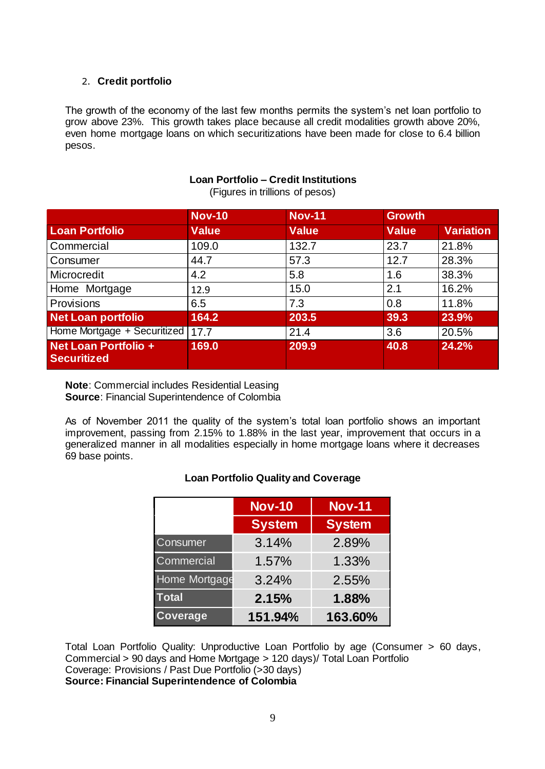# <span id="page-10-0"></span>2. **Credit portfolio**

The growth of the economy of the last few months permits the system's net loan portfolio to grow above 23%. This growth takes place because all credit modalities growth above 20%, even home mortgage loans on which securitizations have been made for close to 6.4 billion pesos.

#### **Loan Portfolio – Credit Institutions**

(Figures in trillions of pesos)

|                                                   | <b>Nov-10</b> | <b>Nov-11</b> | <b>Growth</b> |                  |
|---------------------------------------------------|---------------|---------------|---------------|------------------|
| <b>Loan Portfolio</b>                             | <b>Value</b>  | <b>Value</b>  | <b>Value</b>  | <b>Variation</b> |
| Commercial                                        | 109.0         | 132.7         | 23.7          | 21.8%            |
| Consumer                                          | 44.7          | 57.3          | 12.7          | 28.3%            |
| Microcredit                                       | 4.2           | 5.8           | 1.6           | 38.3%            |
| Home Mortgage                                     | 12.9          | 15.0          | 2.1           | 16.2%            |
| Provisions                                        | 6.5           | 7.3           | 0.8           | 11.8%            |
| <b>Net Loan portfolio</b>                         | 164.2         | 203.5         | 39.3          | 23.9%            |
| Home Mortgage + Securitized                       | 17.7          | 21.4          | 3.6           | 20.5%            |
| <b>Net Loan Portfolio +</b><br><b>Securitized</b> | 169.0         | 209.9         | 40.8          | 24.2%            |

**Note**: Commercial includes Residential Leasing **Source**: Financial Superintendence of Colombia

As of November 2011 the quality of the system's total loan portfolio shows an important improvement, passing from 2.15% to 1.88% in the last year, improvement that occurs in a generalized manner in all modalities especially in home mortgage loans where it decreases 69 base points.

|                 | <b>Nov-10</b> | <b>Nov-11</b> |
|-----------------|---------------|---------------|
|                 | <b>System</b> | <b>System</b> |
| Consumer        | 3.14%         | 2.89%         |
| Commercial      | 1.57%         | 1.33%         |
| Home Mortgage   | 3.24%         | 2.55%         |
| <b>Total</b>    | 2.15%         | 1.88%         |
| <b>Coverage</b> | 151.94%       | 163.60%       |

#### **Loan Portfolio Quality and Coverage**

Total Loan Portfolio Quality: Unproductive Loan Portfolio by age (Consumer > 60 days, Commercial > 90 days and Home Mortgage > 120 days)/ Total Loan Portfolio Coverage: Provisions / Past Due Portfolio (>30 days) **Source: Financial Superintendence of Colombia**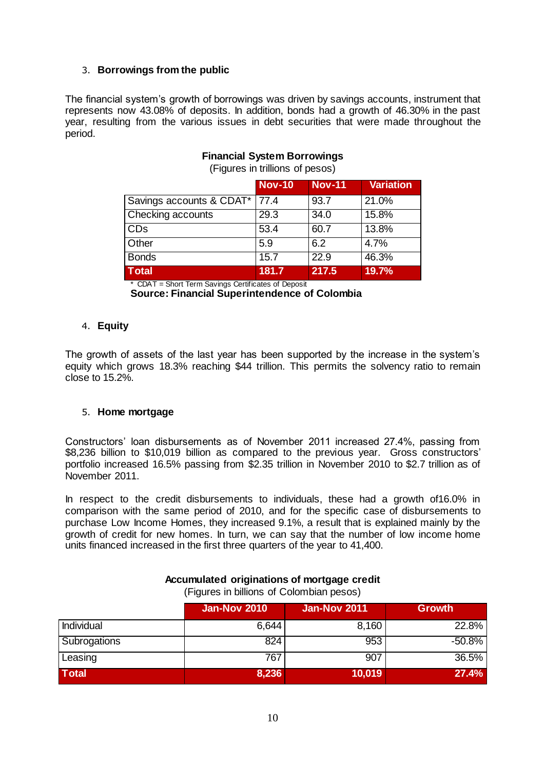#### <span id="page-11-0"></span>3. **Borrowings from the public**

The financial system's growth of borrowings was driven by savings accounts, instrument that represents now 43.08% of deposits. In addition, bonds had a growth of 46.30% in the past year, resulting from the various issues in debt securities that were made throughout the period.

|                                 | <b>Nov-10</b> | <b>Nov-11</b> | <b>Variation</b> |
|---------------------------------|---------------|---------------|------------------|
| Savings accounts & CDAT*   77.4 |               | 93.7          | 21.0%            |
| Checking accounts               | 29.3          | 34.0          | 15.8%            |
| <b>CDs</b>                      | 53.4          | 60.7          | 13.8%            |
| Other                           | 5.9           | 6.2           | 4.7%             |
| <b>Bonds</b>                    | 15.7          | 22.9          | 46.3%            |
| <b>Total</b>                    | 181.7         | 217.5         | 19.7%            |

#### **Financial System Borrowings**

(Figures in trillions of pesos)

\* CDAT = Short Term Savings Certificates of Deposit **Source: Financial Superintendence of Colombia**

#### <span id="page-11-1"></span>4. **Equity**

The growth of assets of the last year has been supported by the increase in the system's equity which grows 18.3% reaching \$44 trillion. This permits the solvency ratio to remain close to 15.2%.

#### <span id="page-11-2"></span>5. **Home mortgage**

Constructors' loan disbursements as of November 2011 increased 27.4%, passing from \$8,236 billion to \$10,019 billion as compared to the previous year. Gross constructors' portfolio increased 16.5% passing from \$2.35 trillion in November 2010 to \$2.7 trillion as of November 2011.

In respect to the credit disbursements to individuals, these had a growth of16.0% in comparison with the same period of 2010, and for the specific case of disbursements to purchase Low Income Homes, they increased 9.1%, a result that is explained mainly by the growth of credit for new homes. In turn, we can say that the number of low income home units financed increased in the first three quarters of the year to 41,400.

|              | <b>Jan-Nov 2010</b> | <b>Jan-Nov 2011</b> | <b>Growth</b> |
|--------------|---------------------|---------------------|---------------|
| Individual   | 6,644               | 8,160               | 22.8%         |
| Subrogations | 824                 | 953                 | $-50.8%$      |
| Leasing      | 767                 | 907                 | 36.5%         |
| <b>Total</b> | 8,236               | 10,019              | 27.4%         |

#### **Accumulated originations of mortgage credit**  (Figures in billions of Colombian pesos)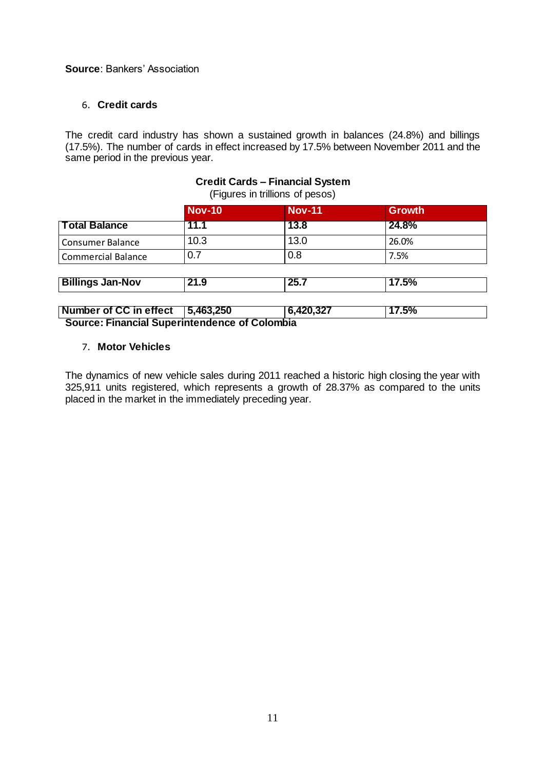#### **Source**: Bankers' Association

#### <span id="page-12-0"></span>6. **Credit cards**

The credit card industry has shown a sustained growth in balances (24.8%) and billings (17.5%). The number of cards in effect increased by 17.5% between November 2011 and the same period in the previous year.

# **Credit Cards – Financial System**

(Figures in trillions of pesos)

| <b>Nov-10</b> | <b>Nov-11</b> | <b>Growth</b> |  |
|---------------|---------------|---------------|--|
| l 1.1         | 13.8          | 24.8%         |  |
| 10.3          | 13.0          | 26.0%         |  |
| 0.7           | 0.8           | 7.5%          |  |
|               |               |               |  |
| 21.9          | 25.7          | 17.5%         |  |
|               |               |               |  |

#### **Number of CC in effect 5,463,250 6,420,327 17.5% Source: Financial Superintendence of Colombia**

#### <span id="page-12-1"></span>7. **Motor Vehicles**

The dynamics of new vehicle sales during 2011 reached a historic high closing the year with 325,911 units registered, which represents a growth of 28.37% as compared to the units placed in the market in the immediately preceding year.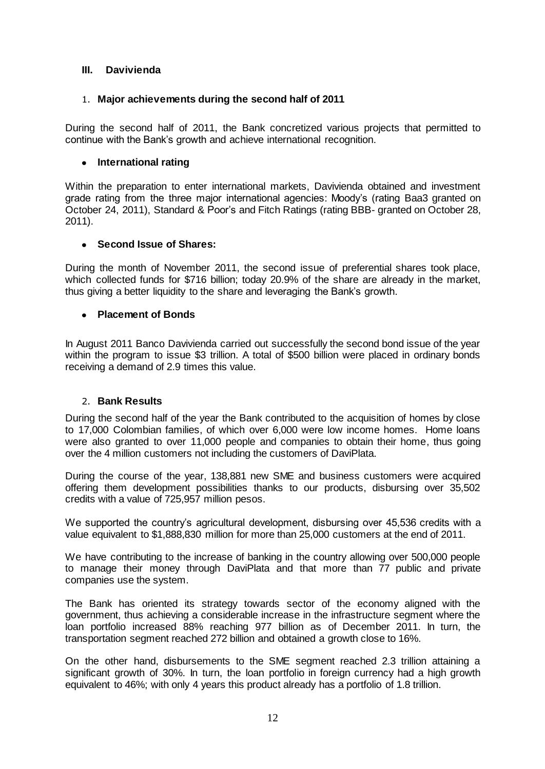#### <span id="page-13-0"></span>**III. Davivienda**

#### <span id="page-13-1"></span>1. **Major achievements during the second half of 2011**

During the second half of 2011, the Bank concretized various projects that permitted to continue with the Bank's growth and achieve international recognition.

#### **International rating**

Within the preparation to enter international markets, Davivienda obtained and investment grade rating from the three major international agencies: Moody's (rating Baa3 granted on October 24, 2011), Standard & Poor's and Fitch Ratings (rating BBB- granted on October 28, 2011).

#### **Second Issue of Shares:**  $\bullet$

During the month of November 2011, the second issue of preferential shares took place, which collected funds for \$716 billion; today 20.9% of the share are already in the market, thus giving a better liquidity to the share and leveraging the Bank's growth.

#### **Placement of Bonds**

In August 2011 Banco Davivienda carried out successfully the second bond issue of the year within the program to issue \$3 trillion. A total of \$500 billion were placed in ordinary bonds receiving a demand of 2.9 times this value.

#### 2. **Bank Results**

<span id="page-13-2"></span>During the second half of the year the Bank contributed to the acquisition of homes by close to 17,000 Colombian families, of which over 6,000 were low income homes. Home loans were also granted to over 11,000 people and companies to obtain their home, thus going over the 4 million customers not including the customers of DaviPlata.

During the course of the year, 138,881 new SME and business customers were acquired offering them development possibilities thanks to our products, disbursing over 35,502 credits with a value of 725,957 million pesos.

We supported the country's agricultural development, disbursing over 45,536 credits with a value equivalent to \$1,888,830 million for more than 25,000 customers at the end of 2011.

We have contributing to the increase of banking in the country allowing over 500,000 people to manage their money through DaviPlata and that more than 77 public and private companies use the system.

The Bank has oriented its strategy towards sector of the economy aligned with the government, thus achieving a considerable increase in the infrastructure segment where the loan portfolio increased 88% reaching 977 billion as of December 2011. In turn, the transportation segment reached 272 billion and obtained a growth close to 16%.

On the other hand, disbursements to the SME segment reached 2.3 trillion attaining a significant growth of 30%. In turn, the loan portfolio in foreign currency had a high growth equivalent to 46%; with only 4 years this product already has a portfolio of 1.8 trillion.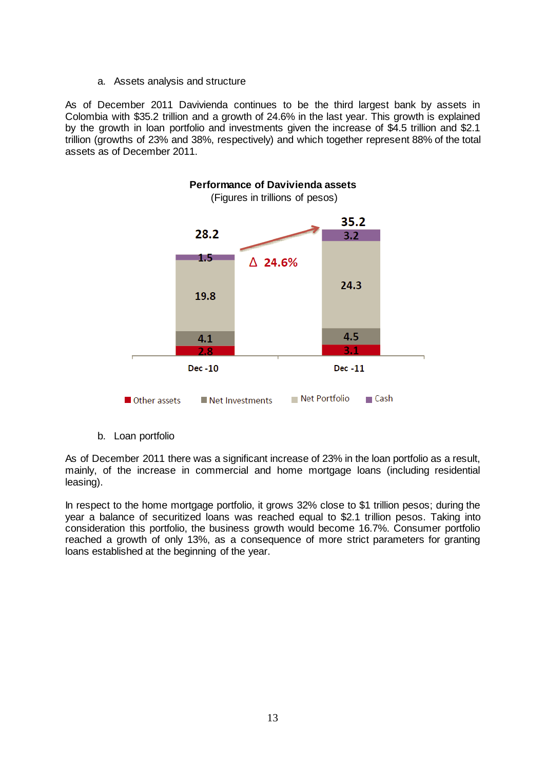a. Assets analysis and structure

As of December 2011 Davivienda continues to be the third largest bank by assets in Colombia with \$35.2 trillion and a growth of 24.6% in the last year. This growth is explained by the growth in loan portfolio and investments given the increase of \$4.5 trillion and \$2.1 trillion (growths of 23% and 38%, respectively) and which together represent 88% of the total assets as of December 2011.



b. Loan portfolio

As of December 2011 there was a significant increase of 23% in the loan portfolio as a result, mainly, of the increase in commercial and home mortgage loans (including residential leasing).

In respect to the home mortgage portfolio, it grows 32% close to \$1 trillion pesos; during the year a balance of securitized loans was reached equal to \$2.1 trillion pesos. Taking into consideration this portfolio, the business growth would become 16.7%. Consumer portfolio reached a growth of only 13%, as a consequence of more strict parameters for granting loans established at the beginning of the year.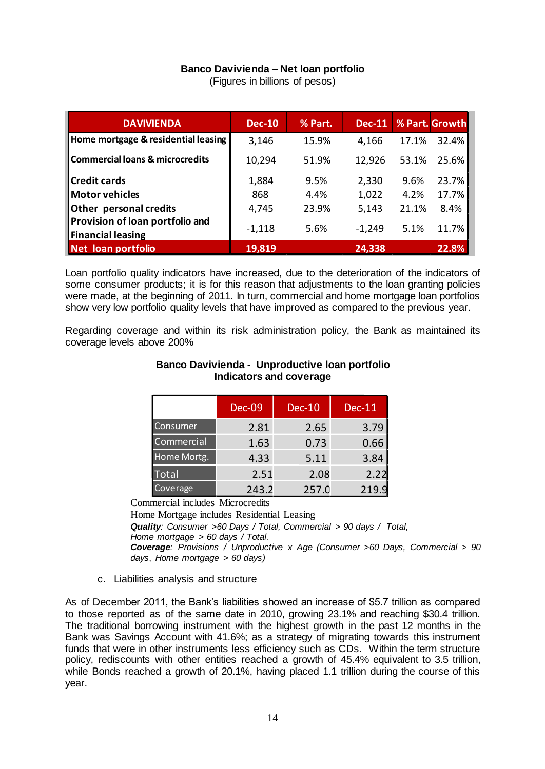# **Banco Davivienda – Net loan portfolio**

(Figures in billions of pesos)

| <b>DAVIVIENDA</b>                                           | <b>Dec-10</b> | % Part. | <b>Dec-11</b> |       | % Part. Growth |
|-------------------------------------------------------------|---------------|---------|---------------|-------|----------------|
| Home mortgage & residential leasing                         | 3,146         | 15.9%   | 4,166         | 17.1% | 32.4%          |
| <b>Commercial loans &amp; microcredits</b>                  | 10,294        | 51.9%   | 12,926        | 53.1% | 25.6%          |
| <b>Credit cards</b>                                         | 1,884         | 9.5%    | 2,330         | 9.6%  | 23.7%          |
| <b>Motor vehicles</b>                                       | 868           | 4.4%    | 1,022         | 4.2%  | 17.7%          |
| Other personal credits                                      | 4,745         | 23.9%   | 5,143         | 21.1% | 8.4%           |
| Provision of loan portfolio and<br><b>Financial leasing</b> | $-1,118$      | 5.6%    | $-1,249$      | 5.1%  | 11.7%          |
| Net loan portfolio                                          | 19,819        |         | 24,338        |       | 22.8%          |

Loan portfolio quality indicators have increased, due to the deterioration of the indicators of some consumer products; it is for this reason that adjustments to the loan granting policies were made, at the beginning of 2011. In turn, commercial and home mortgage loan portfolios show very low portfolio quality levels that have improved as compared to the previous year.

Regarding coverage and within its risk administration policy, the Bank as maintained its coverage levels above 200%

|                 | <b>Dec-09</b> | <b>Dec-10</b> | <b>Dec-11</b> |
|-----------------|---------------|---------------|---------------|
| Consumer        | 2.81          | 2.65          | 3.79          |
| Commercial      | 1.63          | 0.73          | 0.66          |
| Home Mortg.     | 4.33          | 5.11          | 3.84          |
| <b>Total</b>    | 2.51          | 2.08          | 2.22          |
| <b>Coverage</b> | 243.2         | 257.0         | 219.9         |

#### **Banco Davivienda - Unproductive loan portfolio Indicators and coverage**

Commercial includes Microcredits

Home Mortgage includes Residential Leasing *Quality: Consumer >60 Days / Total, Commercial > 90 days / Total, Home mortgage > 60 days / Total. Coverage: Provisions / Unproductive x Age (Consumer >60 Days, Commercial > 90 days*, *Home mortgage > 60 days)*

c. Liabilities analysis and structure

As of December 2011, the Bank's liabilities showed an increase of \$5.7 trillion as compared to those reported as of the same date in 2010, growing 23.1% and reaching \$30.4 trillion. The traditional borrowing instrument with the highest growth in the past 12 months in the Bank was Savings Account with 41.6%; as a strategy of migrating towards this instrument funds that were in other instruments less efficiency such as CDs. Within the term structure policy, rediscounts with other entities reached a growth of 45.4% equivalent to 3.5 trillion, while Bonds reached a growth of 20.1%, having placed 1.1 trillion during the course of this year.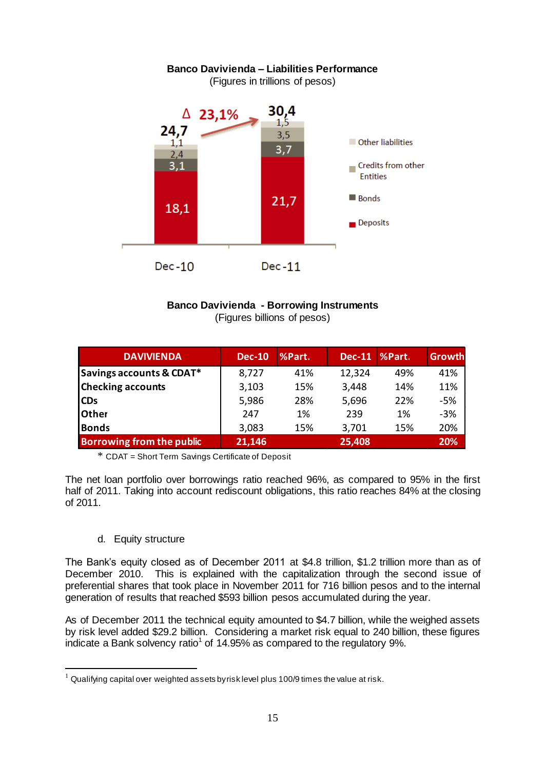

# **Banco Davivienda - Borrowing Instruments** (Figures billions of pesos)

| <b>DAVIVIENDA</b>         | <b>Dec-10</b> | %Part. | <b>Dec-11</b> | %Part. | <b>Growth</b> |
|---------------------------|---------------|--------|---------------|--------|---------------|
| Savings accounts & CDAT*  | 8,727         | 41%    | 12,324        | 49%    | 41%           |
| <b>Checking accounts</b>  | 3,103         | 15%    | 3,448         | 14%    | 11%           |
| <b>CDs</b>                | 5,986         | 28%    | 5,696         | 22%    | -5%           |
| <b>Other</b>              | 247           | 1%     | 239           | 1%     | $-3%$         |
| <b>Bonds</b>              | 3,083         | 15%    | 3,701         | 15%    | 20%           |
| Borrowing from the public | 21,146        |        | 25,408        |        | 20%           |

\* CDAT = Short Term Savings Certificate of Deposit

The net loan portfolio over borrowings ratio reached 96%, as compared to 95% in the first half of 2011. Taking into account rediscount obligations, this ratio reaches 84% at the closing of 2011.

#### d. Equity structure

 $\overline{a}$ 

The Bank's equity closed as of December 2011 at \$4.8 trillion, \$1.2 trillion more than as of December 2010. This is explained with the capitalization through the second issue of preferential shares that took place in November 2011 for 716 billion pesos and to the internal generation of results that reached \$593 billion pesos accumulated during the year.

As of December 2011 the technical equity amounted to \$4.7 billion, while the weighed assets by risk level added \$29.2 billion. Considering a market risk equal to 240 billion, these figures indicate a Bank solvency ratio<sup>1</sup> of 14.95% as compared to the regulatory 9%.

 $1$  Qualifying capital over weighted assets by risk level plus 100/9 times the value at risk.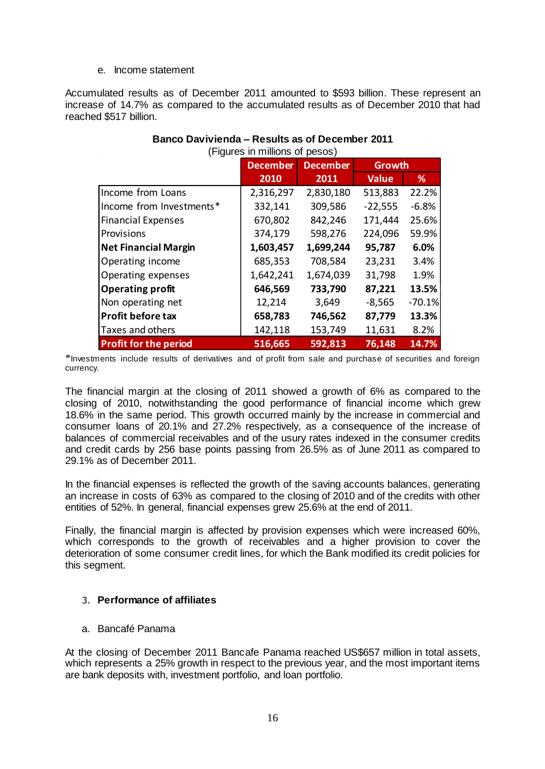#### e. Income statement

Accumulated results as of December 2011 amounted to \$593 billion. These represent an increase of 14.7% as compared to the accumulated results as of December 2010 that had reached \$517 billion.

|                              | (Figures in millions of pesos) |                 |               |          |  |  |
|------------------------------|--------------------------------|-----------------|---------------|----------|--|--|
|                              | <b>December</b>                | <b>December</b> | <b>Growth</b> |          |  |  |
|                              | 2010                           | 2011            | <b>Value</b>  | %        |  |  |
| Income from Loans            | 2,316,297                      | 2,830,180       | 513,883       | 22.2%    |  |  |
| Income from Investments*     | 332,141                        | 309,586         | $-22,555$     | $-6.8%$  |  |  |
| <b>Financial Expenses</b>    | 670,802                        | 842,246         | 171,444       | 25.6%    |  |  |
| Provisions                   | 374,179                        | 598,276         | 224,096       | 59.9%    |  |  |
| <b>Net Financial Margin</b>  | 1,603,457                      | 1,699,244       | 95,787        | 6.0%     |  |  |
| Operating income             | 685,353                        | 708,584         | 23,231        | 3.4%     |  |  |
| Operating expenses           | 1,642,241                      | 1,674,039       | 31,798        | 1.9%     |  |  |
| <b>Operating profit</b>      | 646,569                        | 733,790         | 87,221        | 13.5%    |  |  |
| Non operating net            | 12,214                         | 3,649           | $-8,565$      | $-70.1%$ |  |  |
| Profit before tax            | 658,783                        | 746,562         | 87,779        | 13.3%    |  |  |
| Taxes and others             | 142,118                        | 153,749         | 11,631        | 8.2%     |  |  |
| <b>Profit for the period</b> | 516,665                        | 592,813         | 76,148        | 14.7%    |  |  |

# **Banco Davivienda – Results as of December 2011** (Figures in millions of pesos)

\*Investments include results of derivatives and of profit from sale and purchase of securities and foreign currency.

The financial margin at the closing of 2011 showed a growth of 6% as compared to the closing of 2010, notwithstanding the good performance of financial income which grew 18.6% in the same period. This growth occurred mainly by the increase in commercial and consumer loans of 20.1% and 27.2% respectively, as a consequence of the increase of balances of commercial receivables and of the usury rates indexed in the consumer credits and credit cards by 256 base points passing from 26.5% as of June 2011 as compared to 29.1% as of December 2011.

In the financial expenses is reflected the growth of the saving accounts balances, generating an increase in costs of 63% as compared to the closing of 2010 and of the credits with other entities of 52%. In general, financial expenses grew 25.6% at the end of 2011.

Finally, the financial margin is affected by provision expenses which were increased 60%, which corresponds to the growth of receivables and a higher provision to cover the deterioration of some consumer credit lines, for which the Bank modified its credit policies for this segment.

# <span id="page-17-0"></span>3. **Performance of affiliates**

#### a. Bancafé Panama

At the closing of December 2011 Bancafe Panama reached US\$657 million in total assets, which represents a 25% growth in respect to the previous year, and the most important items are bank deposits with, investment portfolio, and loan portfolio.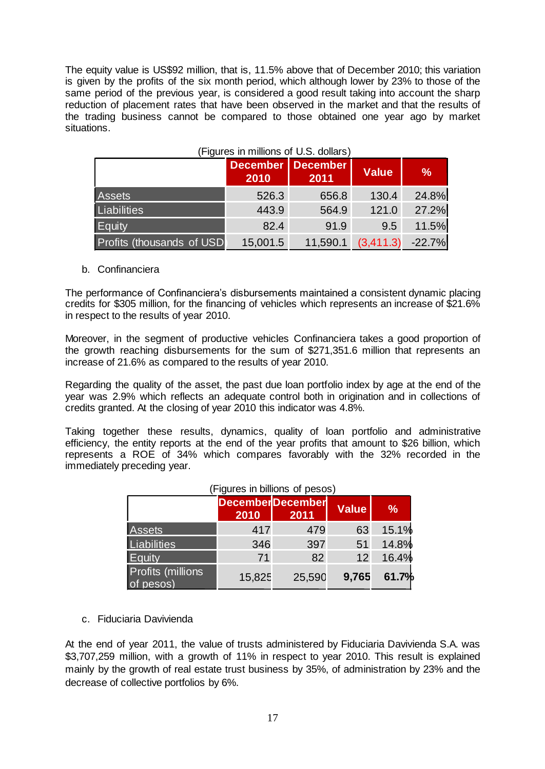The equity value is US\$92 million, that is, 11.5% above that of December 2010; this variation is given by the profits of the six month period, which although lower by 23% to those of the same period of the previous year, is considered a good result taking into account the sharp reduction of placement rates that have been observed in the market and that the results of the trading business cannot be compared to those obtained one year ago by market situations.

| (Figures in millions of U.S. dollars) |                                  |          |                    |               |
|---------------------------------------|----------------------------------|----------|--------------------|---------------|
|                                       | <b>December December</b><br>2010 | 2011     | <b>Value</b>       | $\frac{9}{6}$ |
| <b>Assets</b>                         | 526.3                            | 656.8    | 130.4              | 24.8%         |
| <b>Liabilities</b>                    | 443.9                            | 564.9    | 121.0              | 27.2%         |
| Equity                                | 82.4                             | 91.9     | 9.5                | 11.5%         |
| Profits (thousands of USD             | 15,001.5                         | 11,590.1 | $(3,411.3)$ -22.7% |               |

#### (Figures in millions of U.S. dollars)

#### b. Confinanciera

The performance of Confinanciera's disbursements maintained a consistent dynamic placing credits for \$305 million, for the financing of vehicles which represents an increase of \$21.6% in respect to the results of year 2010.

Moreover, in the segment of productive vehicles Confinanciera takes a good proportion of the growth reaching disbursements for the sum of \$271,351.6 million that represents an increase of 21.6% as compared to the results of year 2010.

Regarding the quality of the asset, the past due loan portfolio index by age at the end of the year was 2.9% which reflects an adequate control both in origination and in collections of credits granted. At the closing of year 2010 this indicator was 4.8%.

Taking together these results, dynamics, quality of loan portfolio and administrative efficiency, the entity reports at the end of the year profits that amount to \$26 billion, which represents a ROE of 34% which compares favorably with the 32% recorded in the immediately preceding year.

|                                       | ן הטכסע וט פווטוווטווא ווו כאווין וו |                                 |              |               |  |  |
|---------------------------------------|--------------------------------------|---------------------------------|--------------|---------------|--|--|
|                                       | 2010                                 | <b>DecemberDecember</b><br>2011 | <b>Value</b> | $\frac{9}{6}$ |  |  |
| <b>Assets</b>                         | 417                                  | 479                             | 63           | 15.1%         |  |  |
| Liabilities                           | 346                                  | 397                             | 51           | 14.8%         |  |  |
| Equity                                | 71                                   | 82                              | 12           | 16.4%         |  |  |
| <b>Profits (millions</b><br>of pesos) | 15,825                               | 25,590                          | 9,765        | 61.7%         |  |  |

#### (Figures in billions of pesos)

c. Fiduciaria Davivienda

At the end of year 2011, the value of trusts administered by Fiduciaria Davivienda S.A. was \$3,707,259 million, with a growth of 11% in respect to year 2010. This result is explained mainly by the growth of real estate trust business by 35%, of administration by 23% and the decrease of collective portfolios by 6%.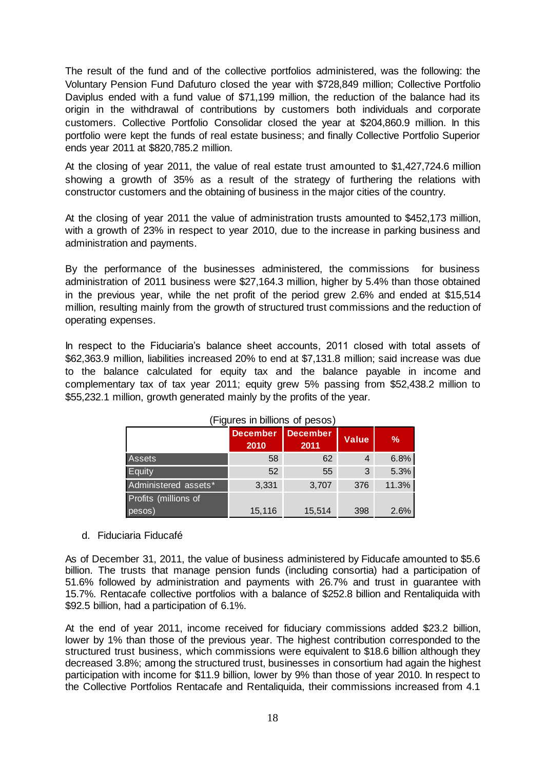The result of the fund and of the collective portfolios administered, was the following: the Voluntary Pension Fund Dafuturo closed the year with \$728,849 million; Collective Portfolio Daviplus ended with a fund value of \$71,199 million, the reduction of the balance had its origin in the withdrawal of contributions by customers both individuals and corporate customers. Collective Portfolio Consolidar closed the year at \$204,860.9 million. In this portfolio were kept the funds of real estate business; and finally Collective Portfolio Superior ends year 2011 at \$820,785.2 million.

At the closing of year 2011, the value of real estate trust amounted to \$1,427,724.6 million showing a growth of 35% as a result of the strategy of furthering the relations with constructor customers and the obtaining of business in the major cities of the country.

At the closing of year 2011 the value of administration trusts amounted to \$452,173 million, with a growth of 23% in respect to year 2010, due to the increase in parking business and administration and payments.

By the performance of the businesses administered, the commissions for business administration of 2011 business were \$27,164.3 million, higher by 5.4% than those obtained in the previous year, while the net profit of the period grew 2.6% and ended at \$15,514 million, resulting mainly from the growth of structured trust commissions and the reduction of operating expenses.

In respect to the Fiduciaria's balance sheet accounts, 2011 closed with total assets of \$62,363.9 million, liabilities increased 20% to end at \$7,131.8 million; said increase was due to the balance calculated for equity tax and the balance payable in income and complementary tax of tax year 2011; equity grew 5% passing from \$52,438.2 million to \$55,232.1 million, growth generated mainly by the profits of the year.

|                      | <b>December</b><br>2010 | <b>December</b><br>2011 | <b>Value</b> | $\frac{9}{6}$ |
|----------------------|-------------------------|-------------------------|--------------|---------------|
| <b>Assets</b>        | 58                      | 62                      | 4            | 6.8%          |
| Equity               | 52                      | 55                      | 3            | 5.3%          |
| Administered assets* | 3,331                   | 3,707                   | 376          | 11.3%         |
| Profits (millions of |                         |                         |              |               |
| pesos)               | 15,116                  | 15,514                  | 398          | 2.6%          |

| (Figures in billions of pesos) |
|--------------------------------|
|--------------------------------|

#### d. Fiduciaria Fiducafé

As of December 31, 2011, the value of business administered by Fiducafe amounted to \$5.6 billion. The trusts that manage pension funds (including consortia) had a participation of 51.6% followed by administration and payments with 26.7% and trust in guarantee with 15.7%. Rentacafe collective portfolios with a balance of \$252.8 billion and Rentaliquida with \$92.5 billion, had a participation of 6.1%.

At the end of year 2011, income received for fiduciary commissions added \$23.2 billion, lower by 1% than those of the previous year. The highest contribution corresponded to the structured trust business, which commissions were equivalent to \$18.6 billion although they decreased 3.8%; among the structured trust, businesses in consortium had again the highest participation with income for \$11.9 billion, lower by 9% than those of year 2010. In respect to the Collective Portfolios Rentacafe and Rentaliquida, their commissions increased from 4.1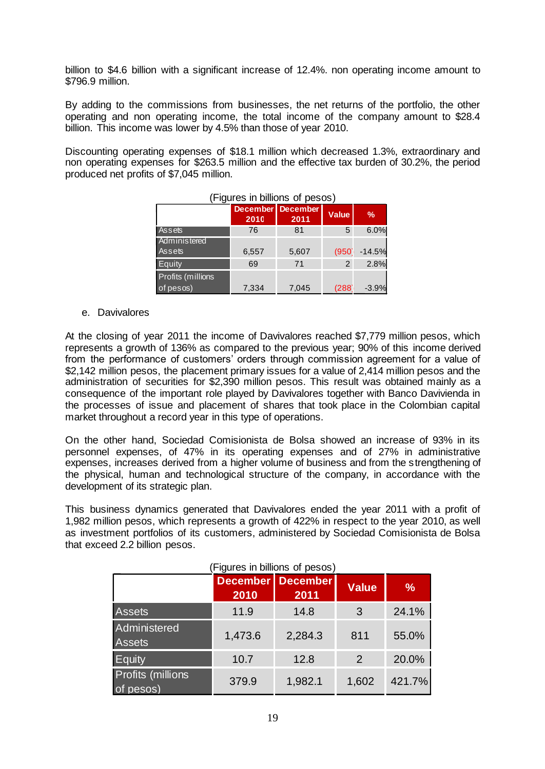billion to \$4.6 billion with a significant increase of 12.4%. non operating income amount to \$796.9 million.

By adding to the commissions from businesses, the net returns of the portfolio, the other operating and non operating income, the total income of the company amount to \$28.4 billion. This income was lower by 4.5% than those of year 2010.

Discounting operating expenses of \$18.1 million which decreased 1.3%, extraordinary and non operating expenses for \$263.5 million and the effective tax burden of 30.2%, the period produced net profits of \$7,045 million.

|                                | <b>December</b><br>2010 | <b>December</b><br>2011 | Value | $\frac{9}{6}$ |
|--------------------------------|-------------------------|-------------------------|-------|---------------|
| Assets                         | 76                      | 81                      | 5     | 6.0%          |
| Administered<br><b>Assets</b>  | 6,557                   | 5,607                   | (950) | $-14.5%$      |
| Equity                         | 69                      | 71                      | 2     | 2.8%          |
| Profits (millions<br>of pesos) | 7,334                   | 7,045                   | (288) | $-3.9%$       |

# (Figures in billions of pesos)

#### e. Davivalores

At the closing of year 2011 the income of Davivalores reached \$7,779 million pesos, which represents a growth of 136% as compared to the previous year; 90% of this income derived from the performance of customers' orders through commission agreement for a value of \$2,142 million pesos, the placement primary issues for a value of 2,414 million pesos and the administration of securities for \$2,390 million pesos. This result was obtained mainly as a consequence of the important role played by Davivalores together with Banco Davivienda in the processes of issue and placement of shares that took place in the Colombian capital market throughout a record year in this type of operations.

On the other hand, Sociedad Comisionista de Bolsa showed an increase of 93% in its personnel expenses, of 47% in its operating expenses and of 27% in administrative expenses, increases derived from a higher volume of business and from the strengthening of the physical, human and technological structure of the company, in accordance with the development of its strategic plan.

This business dynamics generated that Davivalores ended the year 2011 with a profit of 1,982 million pesos, which represents a growth of 422% in respect to the year 2010, as well as investment portfolios of its customers, administered by Sociedad Comisionista de Bolsa that exceed 2.2 billion pesos.

|                                       |                         | Figures in billions of pesos) |              |        |
|---------------------------------------|-------------------------|-------------------------------|--------------|--------|
|                                       | <b>December</b><br>2010 | <b>December</b><br>2011       | <b>Value</b> | %      |
| <b>Assets</b>                         | 11.9                    | 14.8                          | 3            | 24.1%  |
| <b>Administered</b><br><b>Assets</b>  | 1,473.6                 | 2,284.3                       | 811          | 55.0%  |
| Equity                                | 10.7                    | 12.8                          | 2            | 20.0%  |
| <b>Profits (millions</b><br>of pesos) | 379.9                   | 1,982.1                       | 1,602        | 421.7% |

(Figures in billions of pesos)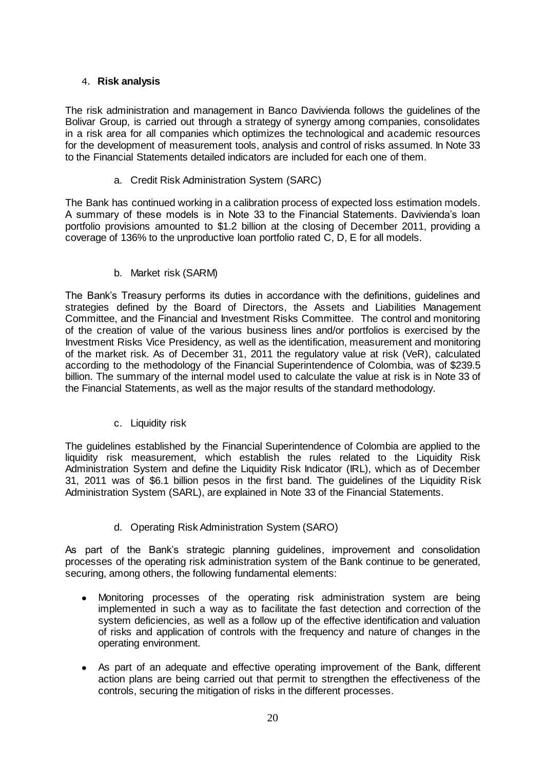# <span id="page-21-0"></span>4. **Risk analysis**

The risk administration and management in Banco Davivienda follows the guidelines of the Bolivar Group, is carried out through a strategy of synergy among companies, consolidates in a risk area for all companies which optimizes the technological and academic resources for the development of measurement tools, analysis and control of risks assumed. In Note 33 to the Financial Statements detailed indicators are included for each one of them.

a. Credit Risk Administration System (SARC)

The Bank has continued working in a calibration process of expected loss estimation models. A summary of these models is in Note 33 to the Financial Statements. Davivienda's loan portfolio provisions amounted to \$1.2 billion at the closing of December 2011, providing a coverage of 136% to the unproductive loan portfolio rated C, D, E for all models.

# b. Market risk (SARM)

The Bank's Treasury performs its duties in accordance with the definitions, guidelines and strategies defined by the Board of Directors, the Assets and Liabilities Management Committee, and the Financial and Investment Risks Committee. The control and monitoring of the creation of value of the various business lines and/or portfolios is exercised by the Investment Risks Vice Presidency, as well as the identification, measurement and monitoring of the market risk. As of December 31, 2011 the regulatory value at risk (VeR), calculated according to the methodology of the Financial Superintendence of Colombia, was of \$239.5 billion. The summary of the internal model used to calculate the value at risk is in Note 33 of the Financial Statements, as well as the major results of the standard methodology.

c. Liquidity risk

The guidelines established by the Financial Superintendence of Colombia are applied to the liquidity risk measurement, which establish the rules related to the Liquidity Risk Administration System and define the Liquidity Risk Indicator (IRL), which as of December 31, 2011 was of \$6.1 billion pesos in the first band. The guidelines of the Liquidity Risk Administration System (SARL), are explained in Note 33 of the Financial Statements.

# d. Operating Risk Administration System (SARO)

As part of the Bank's strategic planning guidelines, improvement and consolidation processes of the operating risk administration system of the Bank continue to be generated, securing, among others, the following fundamental elements:

- Monitoring processes of the operating risk administration system are being implemented in such a way as to facilitate the fast detection and correction of the system deficiencies, as well as a follow up of the effective identification and valuation of risks and application of controls with the frequency and nature of changes in the operating environment.
- As part of an adequate and effective operating improvement of the Bank, different action plans are being carried out that permit to strengthen the effectiveness of the controls, securing the mitigation of risks in the different processes.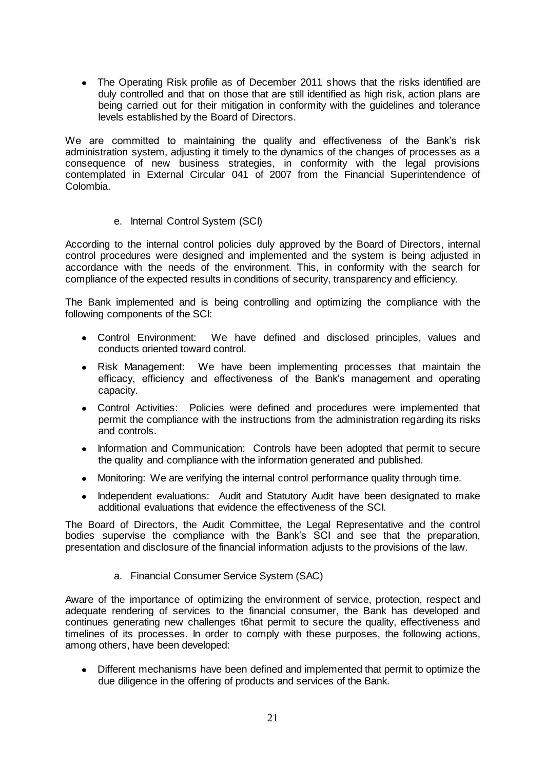• The Operating Risk profile as of December 2011 shows that the risks identified are duly controlled and that on those that are still identified as high risk, action plans are being carried out for their mitigation in conformity with the guidelines and tolerance levels established by the Board of Directors.

We are committed to maintaining the quality and effectiveness of the Bank's risk administration system, adjusting it timely to the dynamics of the changes of processes as a consequence of new business strategies, in conformity with the legal provisions contemplated in External Circular 041 of 2007 from the Financial Superintendence of Colombia.

e. Internal Control System (SCI)

According to the internal control policies duly approved by the Board of Directors, internal control procedures were designed and implemented and the system is being adjusted in accordance with the needs of the environment. This, in conformity with the search for compliance of the expected results in conditions of security, transparency and efficiency.

The Bank implemented and is being controlling and optimizing the compliance with the following components of the SCI:

- Control Environment: We have defined and disclosed principles, values and conducts oriented toward control.
- Risk Management: We have been implementing processes that maintain the efficacy, efficiency and effectiveness of the Bank's management and operating capacity.
- Control Activities: Policies were defined and procedures were implemented that permit the compliance with the instructions from the administration regarding its risks and controls.
- Information and Communication: Controls have been adopted that permit to secure  $\bullet$ the quality and compliance with the information generated and published.
- Monitoring: We are verifying the internal control performance quality through time.
- Independent evaluations: Audit and Statutory Audit have been designated to make additional evaluations that evidence the effectiveness of the SCI.

The Board of Directors, the Audit Committee, the Legal Representative and the control bodies supervise the compliance with the Bank's SCI and see that the preparation, presentation and disclosure of the financial information adjusts to the provisions of the law.

a. Financial Consumer Service System (SAC)

Aware of the importance of optimizing the environment of service, protection, respect and adequate rendering of services to the financial consumer, the Bank has developed and continues generating new challenges t6hat permit to secure the quality, effectiveness and timelines of its processes. In order to comply with these purposes, the following actions, among others, have been developed:

 $\bullet$ Different mechanisms have been defined and implemented that permit to optimize the due diligence in the offering of products and services of the Bank.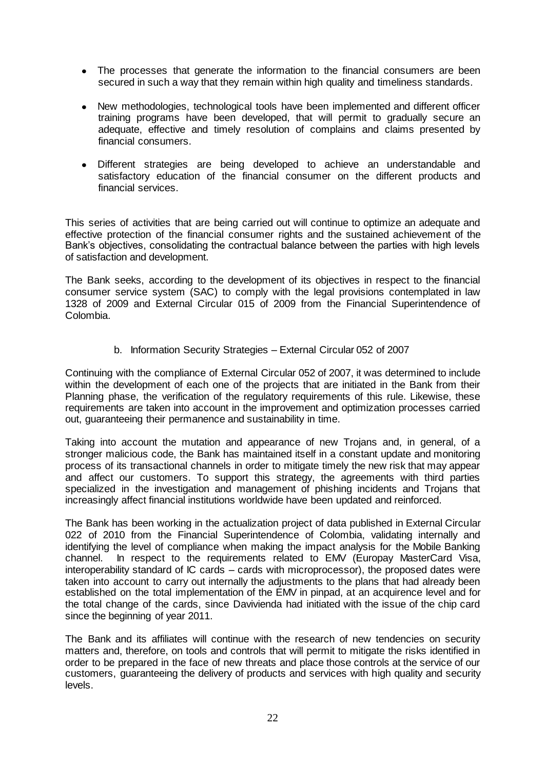- The processes that generate the information to the financial consumers are been secured in such a way that they remain within high quality and timeliness standards.
- $\bullet$ New methodologies, technological tools have been implemented and different officer training programs have been developed, that will permit to gradually secure an adequate, effective and timely resolution of complains and claims presented by financial consumers.
- Different strategies are being developed to achieve an understandable and satisfactory education of the financial consumer on the different products and financial services.

This series of activities that are being carried out will continue to optimize an adequate and effective protection of the financial consumer rights and the sustained achievement of the Bank's objectives, consolidating the contractual balance between the parties with high levels of satisfaction and development.

The Bank seeks, according to the development of its objectives in respect to the financial consumer service system (SAC) to comply with the legal provisions contemplated in law 1328 of 2009 and External Circular 015 of 2009 from the Financial Superintendence of Colombia.

b. Information Security Strategies – External Circular 052 of 2007

Continuing with the compliance of External Circular 052 of 2007, it was determined to include within the development of each one of the projects that are initiated in the Bank from their Planning phase, the verification of the regulatory requirements of this rule. Likewise, these requirements are taken into account in the improvement and optimization processes carried out, guaranteeing their permanence and sustainability in time.

Taking into account the mutation and appearance of new Trojans and, in general, of a stronger malicious code, the Bank has maintained itself in a constant update and monitoring process of its transactional channels in order to mitigate timely the new risk that may appear and affect our customers. To support this strategy, the agreements with third parties specialized in the investigation and management of phishing incidents and Trojans that increasingly affect financial institutions worldwide have been updated and reinforced.

The Bank has been working in the actualization project of data published in External Circular 022 of 2010 from the Financial Superintendence of Colombia, validating internally and identifying the level of compliance when making the impact analysis for the Mobile Banking channel. In respect to the requirements related to EMV (Europay MasterCard Visa, interoperability standard of IC cards – cards with microprocessor), the proposed dates were taken into account to carry out internally the adjustments to the plans that had already been established on the total implementation of the EMV in pinpad, at an acquirence level and for the total change of the cards, since Davivienda had initiated with the issue of the chip card since the beginning of year 2011.

The Bank and its affiliates will continue with the research of new tendencies on security matters and, therefore, on tools and controls that will permit to mitigate the risks identified in order to be prepared in the face of new threats and place those controls at the service of our customers, guaranteeing the delivery of products and services with high quality and security levels.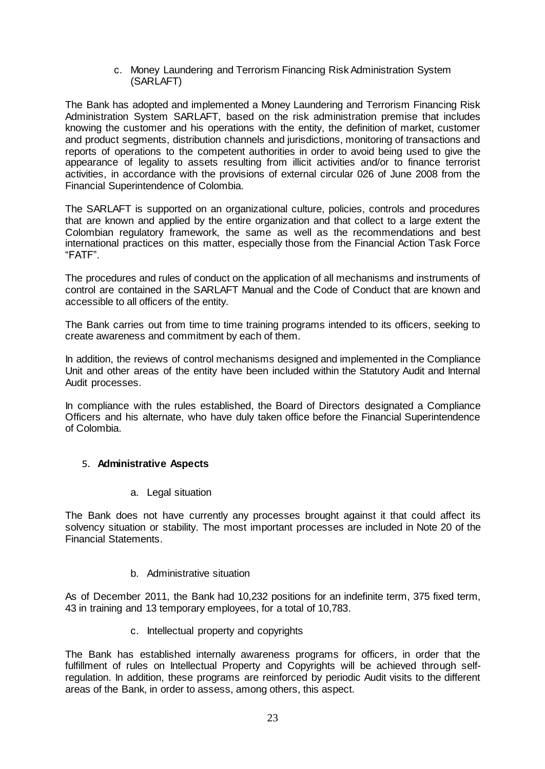c. Money Laundering and Terrorism Financing Risk Administration System (SARLAFT)

The Bank has adopted and implemented a Money Laundering and Terrorism Financing Risk Administration System SARLAFT, based on the risk administration premise that includes knowing the customer and his operations with the entity, the definition of market, customer and product segments, distribution channels and jurisdictions, monitoring of transactions and reports of operations to the competent authorities in order to avoid being used to give the appearance of legality to assets resulting from illicit activities and/or to finance terrorist activities, in accordance with the provisions of external circular 026 of June 2008 from the Financial Superintendence of Colombia.

The SARLAFT is supported on an organizational culture, policies, controls and procedures that are known and applied by the entire organization and that collect to a large extent the Colombian regulatory framework, the same as well as the recommendations and best international practices on this matter, especially those from the Financial Action Task Force "FATF".

The procedures and rules of conduct on the application of all mechanisms and instruments of control are contained in the SARLAFT Manual and the Code of Conduct that are known and accessible to all officers of the entity.

The Bank carries out from time to time training programs intended to its officers, seeking to create awareness and commitment by each of them.

In addition, the reviews of control mechanisms designed and implemented in the Compliance Unit and other areas of the entity have been included within the Statutory Audit and Internal Audit processes.

In compliance with the rules established, the Board of Directors designated a Compliance Officers and his alternate, who have duly taken office before the Financial Superintendence of Colombia.

#### <span id="page-24-0"></span>5. **Administrative Aspects**

a. Legal situation

The Bank does not have currently any processes brought against it that could affect its solvency situation or stability. The most important processes are included in Note 20 of the Financial Statements.

#### b. Administrative situation

As of December 2011, the Bank had 10,232 positions for an indefinite term, 375 fixed term, 43 in training and 13 temporary employees, for a total of 10,783.

c. Intellectual property and copyrights

The Bank has established internally awareness programs for officers, in order that the fulfillment of rules on Intellectual Property and Copyrights will be achieved through selfregulation. In addition, these programs are reinforced by periodic Audit visits to the different areas of the Bank, in order to assess, among others, this aspect.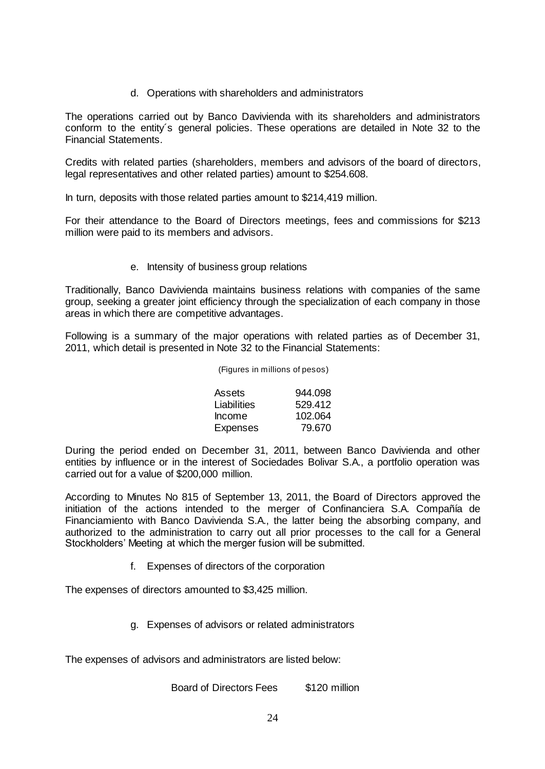d. Operations with shareholders and administrators

The operations carried out by Banco Davivienda with its shareholders and administrators conform to the entity´s general policies. These operations are detailed in Note 32 to the Financial Statements.

Credits with related parties (shareholders, members and advisors of the board of directors, legal representatives and other related parties) amount to \$254.608.

In turn, deposits with those related parties amount to \$214,419 million.

For their attendance to the Board of Directors meetings, fees and commissions for \$213 million were paid to its members and advisors.

e. Intensity of business group relations

Traditionally, Banco Davivienda maintains business relations with companies of the same group, seeking a greater joint efficiency through the specialization of each company in those areas in which there are competitive advantages.

Following is a summary of the major operations with related parties as of December 31, 2011, which detail is presented in Note 32 to the Financial Statements:

| (Figures in millions of pesos) |  |
|--------------------------------|--|
|--------------------------------|--|

| Assets          | 944.098 |
|-----------------|---------|
| Liabilities     | 529.412 |
| <b>Income</b>   | 102.064 |
| <b>Expenses</b> | 79.670  |

During the period ended on December 31, 2011, between Banco Davivienda and other entities by influence or in the interest of Sociedades Bolivar S.A., a portfolio operation was carried out for a value of \$200,000 million.

According to Minutes No 815 of September 13, 2011, the Board of Directors approved the initiation of the actions intended to the merger of Confinanciera S.A. Compañía de Financiamiento with Banco Davivienda S.A., the latter being the absorbing company, and authorized to the administration to carry out all prior processes to the call for a General Stockholders' Meeting at which the merger fusion will be submitted.

f. Expenses of directors of the corporation

The expenses of directors amounted to \$3,425 million.

g. Expenses of advisors or related administrators

The expenses of advisors and administrators are listed below:

Board of Directors Fees \$120 million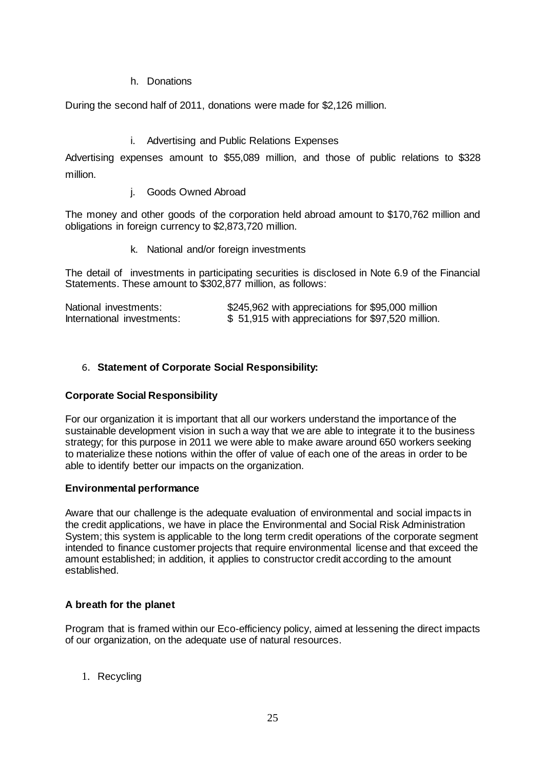# h. Donations

During the second half of 2011, donations were made for \$2,126 million.

### i. Advertising and Public Relations Expenses

Advertising expenses amount to \$55,089 million, and those of public relations to \$328 million.

#### j. Goods Owned Abroad

The money and other goods of the corporation held abroad amount to \$170,762 million and obligations in foreign currency to \$2,873,720 million.

k. National and/or foreign investments

The detail of investments in participating securities is disclosed in Note 6.9 of the Financial Statements. These amount to \$302,877 million, as follows:

| National investments:      | \$245,962 with appreciations for \$95,000 million |
|----------------------------|---------------------------------------------------|
| International investments: | \$51,915 with appreciations for \$97,520 million. |

# <span id="page-26-0"></span>6. **Statement of Corporate Social Responsibility:**

#### **Corporate Social Responsibility**

For our organization it is important that all our workers understand the importance of the sustainable development vision in such a way that we are able to integrate it to the business strategy; for this purpose in 2011 we were able to make aware around 650 workers seeking to materialize these notions within the offer of value of each one of the areas in order to be able to identify better our impacts on the organization.

#### **Environmental performance**

Aware that our challenge is the adequate evaluation of environmental and social impacts in the credit applications, we have in place the Environmental and Social Risk Administration System; this system is applicable to the long term credit operations of the corporate segment intended to finance customer projects that require environmental license and that exceed the amount established; in addition, it applies to constructor credit according to the amount established.

# **A breath for the planet**

Program that is framed within our Eco-efficiency policy, aimed at lessening the direct impacts of our organization, on the adequate use of natural resources.

1. Recycling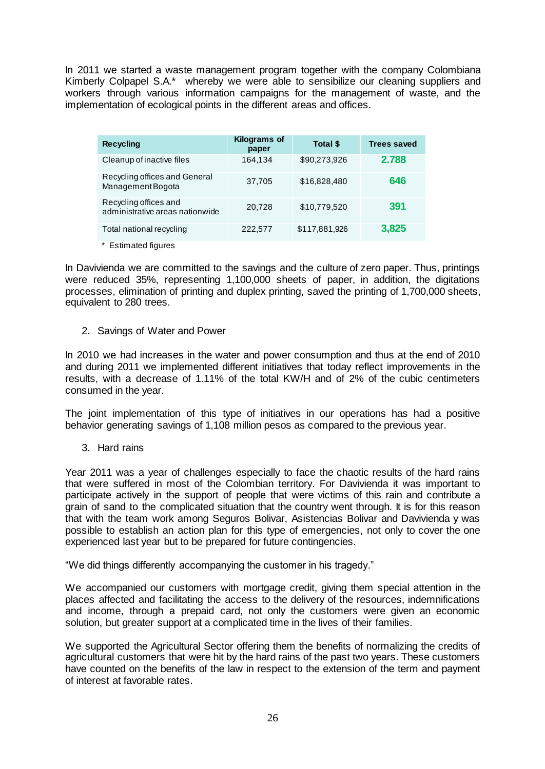In 2011 we started a waste management program together with the company Colombiana Kimberly Colpapel S.A.\* whereby we were able to sensibilize our cleaning suppliers and workers through various information campaigns for the management of waste, and the implementation of ecological points in the different areas and offices.

| <b>Recycling</b>                                         | <b>Kilograms of</b><br>paper | Total \$      | <b>Trees saved</b> |
|----------------------------------------------------------|------------------------------|---------------|--------------------|
| Cleanup of inactive files                                | 164,134                      | \$90,273,926  | 2.788              |
| Recycling offices and General<br>Management Bogota       | 37,705                       | \$16,828,480  | 646                |
| Recycling offices and<br>administrative areas nationwide | 20,728                       | \$10,779,520  | 391                |
| Total national recycling                                 | 222,577                      | \$117,881,926 | 3,825              |

\* Estimated figures

In Davivienda we are committed to the savings and the culture of zero paper. Thus, printings were reduced 35%, representing 1,100,000 sheets of paper, in addition, the digitations processes, elimination of printing and duplex printing, saved the printing of 1,700,000 sheets, equivalent to 280 trees.

2. Savings of Water and Power

In 2010 we had increases in the water and power consumption and thus at the end of 2010 and during 2011 we implemented different initiatives that today reflect improvements in the results, with a decrease of 1.11% of the total KW/H and of 2% of the cubic centimeters consumed in the year.

The joint implementation of this type of initiatives in our operations has had a positive behavior generating savings of 1,108 million pesos as compared to the previous year.

3. Hard rains

Year 2011 was a year of challenges especially to face the chaotic results of the hard rains that were suffered in most of the Colombian territory. For Davivienda it was important to participate actively in the support of people that were victims of this rain and contribute a grain of sand to the complicated situation that the country went through. It is for this reason that with the team work among Seguros Bolivar, Asistencias Bolivar and Davivienda y was possible to establish an action plan for this type of emergencies, not only to cover the one experienced last year but to be prepared for future contingencies.

"We did things differently accompanying the customer in his tragedy."

We accompanied our customers with mortgage credit, giving them special attention in the places affected and facilitating the access to the delivery of the resources, indemnifications and income, through a prepaid card, not only the customers were given an economic solution, but greater support at a complicated time in the lives of their families.

We supported the Agricultural Sector offering them the benefits of normalizing the credits of agricultural customers that were hit by the hard rains of the past two years. These customers have counted on the benefits of the law in respect to the extension of the term and payment of interest at favorable rates.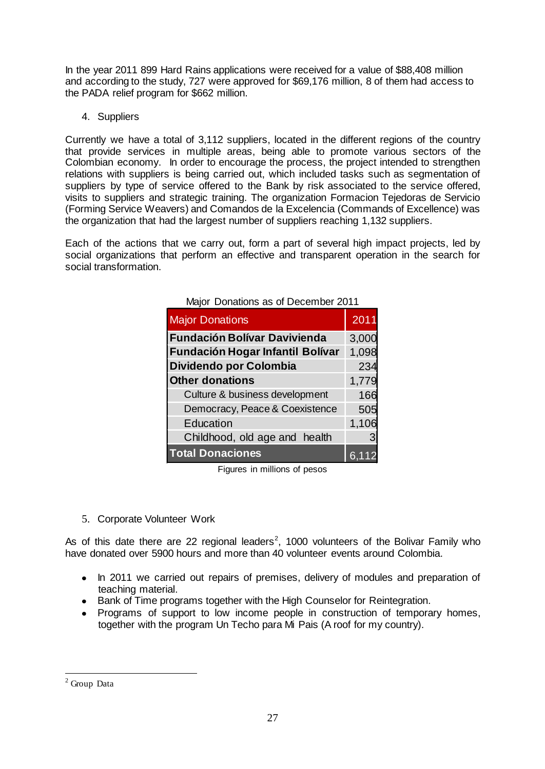In the year 2011 899 Hard Rains applications were received for a value of \$88,408 million and according to the study, 727 were approved for \$69,176 million, 8 of them had access to the PADA relief program for \$662 million.

4. Suppliers

Currently we have a total of 3,112 suppliers, located in the different regions of the country that provide services in multiple areas, being able to promote various sectors of the Colombian economy. In order to encourage the process, the project intended to strengthen relations with suppliers is being carried out, which included tasks such as segmentation of suppliers by type of service offered to the Bank by risk associated to the service offered, visits to suppliers and strategic training. The organization Formacion Tejedoras de Servicio (Forming Service Weavers) and Comandos de la Excelencia (Commands of Excellence) was the organization that had the largest number of suppliers reaching 1,132 suppliers.

Each of the actions that we carry out, form a part of several high impact projects, led by social organizations that perform an effective and transparent operation in the search for social transformation.

| <b>Major Donations</b>                  | 2011  |
|-----------------------------------------|-------|
| <b>Fundación Bolívar Davivienda</b>     | 3,000 |
| <b>Fundación Hogar Infantil Bolívar</b> | 1,098 |
| Dividendo por Colombia                  | 234   |
| <b>Other donations</b>                  | 1,779 |
| Culture & business development          | 166   |
| Democracy, Peace & Coexistence          | 505   |
| Education                               | 1,106 |
| Childhood, old age and health           |       |
| <b>Total Donaciones</b>                 | 6.1   |

Major Donations as of December 2011

Figures in millions of pesos

5. Corporate Volunteer Work

As of this date there are 22 regional leaders<sup>2</sup>, 1000 volunteers of the Bolivar Family who have donated over 5900 hours and more than 40 volunteer events around Colombia.

- In 2011 we carried out repairs of premises, delivery of modules and preparation of teaching material.
- Bank of Time programs together with the High Counselor for Reintegration.
- Programs of support to low income people in construction of temporary homes, together with the program Un Techo para Mi Pais (A roof for my country).

 $\overline{a}$ 

 $2$  Group Data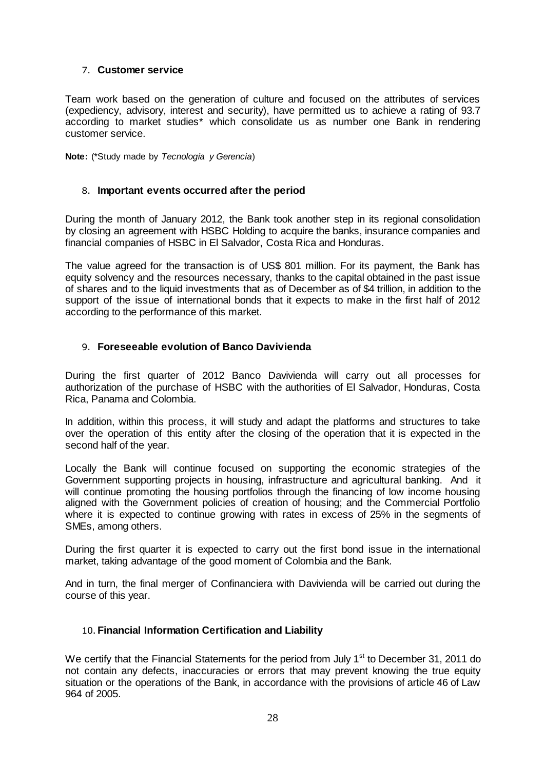#### <span id="page-29-0"></span>7. **Customer service**

Team work based on the generation of culture and focused on the attributes of services (expediency, advisory, interest and security), have permitted us to achieve a rating of 93.7 according to market studies\* which consolidate us as number one Bank in rendering customer service.

**Note:** (\*Study made by *Tecnología y Gerencia*)

#### <span id="page-29-1"></span>8. **Important events occurred after the period**

During the month of January 2012, the Bank took another step in its regional consolidation by closing an agreement with HSBC Holding to acquire the banks, insurance companies and financial companies of HSBC in El Salvador, Costa Rica and Honduras.

The value agreed for the transaction is of US\$ 801 million. For its payment, the Bank has equity solvency and the resources necessary, thanks to the capital obtained in the past issue of shares and to the liquid investments that as of December as of \$4 trillion, in addition to the support of the issue of international bonds that it expects to make in the first half of 2012 according to the performance of this market.

#### <span id="page-29-2"></span>9. **Foreseeable evolution of Banco Davivienda**

During the first quarter of 2012 Banco Davivienda will carry out all processes for authorization of the purchase of HSBC with the authorities of El Salvador, Honduras, Costa Rica, Panama and Colombia.

In addition, within this process, it will study and adapt the platforms and structures to take over the operation of this entity after the closing of the operation that it is expected in the second half of the year.

Locally the Bank will continue focused on supporting the economic strategies of the Government supporting projects in housing, infrastructure and agricultural banking. And it will continue promoting the housing portfolios through the financing of low income housing aligned with the Government policies of creation of housing; and the Commercial Portfolio where it is expected to continue growing with rates in excess of 25% in the segments of SMEs, among others.

During the first quarter it is expected to carry out the first bond issue in the international market, taking advantage of the good moment of Colombia and the Bank.

And in turn, the final merger of Confinanciera with Davivienda will be carried out during the course of this year.

#### <span id="page-29-3"></span>10.**Financial Information Certification and Liability**

We certify that the Financial Statements for the period from July  $1<sup>st</sup>$  to December 31, 2011 do not contain any defects, inaccuracies or errors that may prevent knowing the true equity situation or the operations of the Bank, in accordance with the provisions of article 46 of Law 964 of 2005.